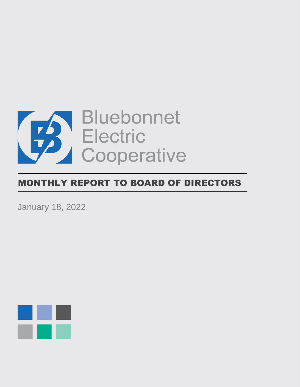

# MONTHLY REPORT TO BOARD OF DIRECTORS

January 18, 2022

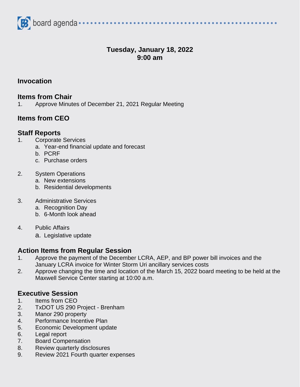

# **Tuesday, January 18, 2022 9:00 am**

**Invocation**

#### **Items from Chair**

1. Approve Minutes of December 21, 2021 Regular Meeting

# **Items from CEO**

## **Staff Reports**

- 1. Corporate Services
	- a. Year-end financial update and forecast
	- b. PCRF
	- c. Purchase orders
- 2. System Operations
	- a. New extensions
	- b. Residential developments

#### 3. Administrative Services

- a. Recognition Day
- b. 6-Month look ahead
- 4. Public Affairs
	- a. Legislative update

# **Action Items from Regular Session**

- 1. Approve the payment of the December LCRA, AEP, and BP power bill invoices and the January LCRA invoice for Winter Storm Uri ancillary services costs
- 2. Approve changing the time and location of the March 15, 2022 board meeting to be held at the Maxwell Service Center starting at 10:00 a.m.

# **Executive Session**

- 1. Items from CEO
- 2. TxDOT US 290 Project Brenham
- 3. Manor 290 property
- 4. Performance Incentive Plan
- 5. Economic Development update
- 6. Legal report
- 7. Board Compensation
- 8. Review quarterly disclosures
- 9. Review 2021 Fourth quarter expenses